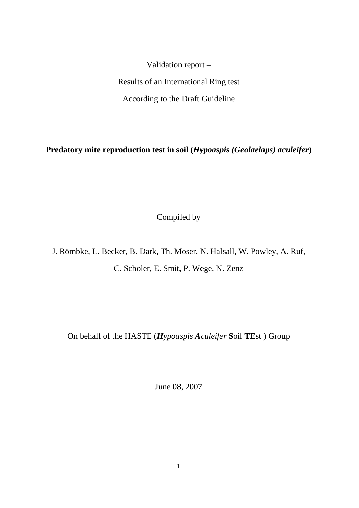Validation report – Results of an International Ring test According to the Draft Guideline

**Predatory mite reproduction test in soil (***Hypoaspis (Geolaelaps) aculeifer***)** 

Compiled by

J. Römbke, L. Becker, B. Dark, Th. Moser, N. Halsall, W. Powley, A. Ruf, C. Scholer, E. Smit, P. Wege, N. Zenz

On behalf of the HASTE (*Hypoaspis Aculeifer* **S**oil **TE**st ) Group

June 08, 2007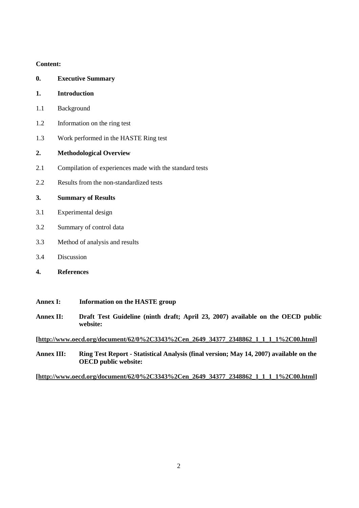### **Content:**

| 0.  | <b>Executive Summary</b>                                |
|-----|---------------------------------------------------------|
| 1.  | Introduction                                            |
| 1.1 | Background                                              |
| 1.2 | Information on the ring test                            |
| 1.3 | Work performed in the HASTE Ring test                   |
| 2.  | <b>Methodological Overview</b>                          |
| 2.1 | Compilation of experiences made with the standard tests |
| 2.2 | Results from the non-standardized tests                 |
| 3.  | <b>Summary of Results</b>                               |
| 3.1 | Experimental design                                     |
| 3.2 | Summary of control data                                 |
| 3.3 | Method of analysis and results                          |
| 3.4 | Discussion                                              |
| 4.  | <b>References</b>                                       |
|     |                                                         |

## **Annex I: Information on the HASTE group**

**Annex II: Draft Test Guideline (ninth draft; April 23, 2007) available on the OECD public website:** 

**[\[http://www.oecd.org/document/62/0%2C3343%2Cen\\_2649\\_34377\\_2348862\\_1\\_1\\_1\\_1%2C00.html\]](http://www.oecd.org/document/62/0%2C3343%2Cen_2649_34377_2348862_1_1_1_1%2C00.html)** 

**Annex III: Ring Test Report - Statistical Analysis (final version; May 14, 2007) available on the OECD public website:** 

**[\[http://www.oecd.org/document/62/0%2C3343%2Cen\\_2649\\_34377\\_2348862\\_1\\_1\\_1\\_1%2C00.html\]](http://www.oecd.org/document/62/0%2C3343%2Cen_2649_34377_2348862_1_1_1_1%2C00.html)**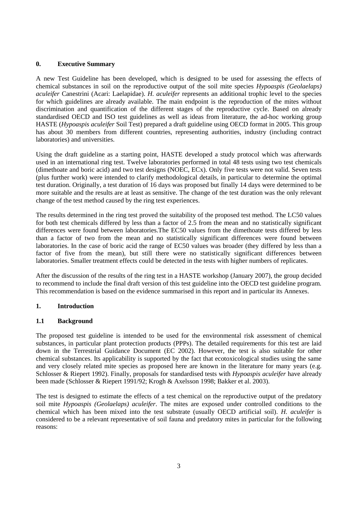### **0. Executive Summary**

A new Test Guideline has been developed, which is designed to be used for assessing the effects of chemical substances in soil on the reproductive output of the soil mite species *Hypoaspis (Geolaelaps) aculeifer* Canestrini (Acari: Laelapidae). *H. aculeifer* represents an additional trophic level to the species for which guidelines are already available. The main endpoint is the reproduction of the mites without discrimination and quantification of the different stages of the reproductive cycle. Based on already standardised OECD and ISO test guidelines as well as ideas from literature, the ad-hoc working group HASTE (*Hypoaspis aculeifer* Soil Test) prepared a draft guideline using OECD format in 2005. This group has about 30 members from different countries, representing authorities, industry (including contract laboratories) and universities.

Using the draft guideline as a starting point, HASTE developed a study protocol which was afterwards used in an international ring test. Twelve laboratories performed in total 48 tests using two test chemicals (dimethoate and boric acid) and two test designs (NOEC, ECx). Only five tests were not valid. Seven tests (plus further work) were intended to clarify methodological details, in particular to determine the optimal test duration. Originally, a test duration of 16 days was proposed but finally 14 days were determined to be more suitable and the results are at least as sensitive. The change of the test duration was the only relevant change of the test method caused by the ring test experiences.

The results determined in the ring test proved the suitability of the proposed test method. The LC50 values for both test chemicals differed by less than a factor of 2.5 from the mean and no statistically significant differences were found between laboratories.The EC50 values from the dimethoate tests differed by less than a factor of two from the mean and no statistically significant differences were found between laboratories. In the case of boric acid the range of EC50 values was broader (they differed by less than a factor of five from the mean), but still there were no statistically significant differences between laboratories. Smaller treatment effects could be detected in the tests with higher numbers of replicates.

After the discussion of the results of the ring test in a HASTE workshop (January 2007), the group decided to recommend to include the final draft version of this test guideline into the OECD test guideline program. This recommendation is based on the evidence summarised in this report and in particular its Annexes.

### **1. Introduction**

### **1.1 Background**

The proposed test guideline is intended to be used for the environmental risk assessment of chemical substances, in particular plant protection products (PPPs). The detailed requirements for this test are laid down in the Terrestrial Guidance Document (EC 2002). However, the test is also suitable for other chemical substances. Its applicability is supported by the fact that ecotoxicological studies using the same and very closely related mite species as proposed here are known in the literature for many years (e.g. Schlosser & Riepert 1992). Finally, proposals for standardised tests with *Hypoaspis aculeifer* have already been made (Schlosser & Riepert 1991/92; Krogh & Axelsson 1998; Bakker et al. 2003).

The test is designed to estimate the effects of a test chemical on the reproductive output of the predatory soil mite *Hypoaspis (Geolaelaps) aculeifer*. The mites are exposed under controlled conditions to the chemical which has been mixed into the test substrate (usually OECD artificial soil). *H. aculeifer* is considered to be a relevant representative of soil fauna and predatory mites in particular for the following reasons: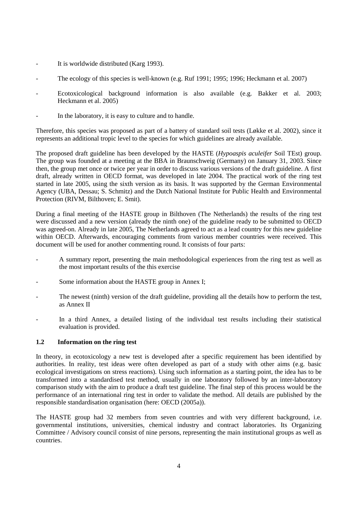- It is worldwide distributed (Karg 1993).
- The ecology of this species is well-known (e.g. Ruf 1991; 1995; 1996; Heckmann et al. 2007)
- Ecotoxicological background information is also available (e.g. Bakker et al. 2003; Heckmann et al. 2005)
- In the laboratory, it is easy to culture and to handle.

Therefore, this species was proposed as part of a battery of standard soil tests (Løkke et al. 2002), since it represents an additional tropic level to the species for which guidelines are already available.

The proposed draft guideline has been developed by the HASTE (*Hypoaspis aculeifer* Soil TEst) group. The group was founded at a meeting at the BBA in Braunschweig (Germany) on January 31, 2003. Since then, the group met once or twice per year in order to discuss various versions of the draft guideline. A first draft, already written in OECD format, was developed in late 2004. The practical work of the ring test started in late 2005, using the sixth version as its basis. It was supported by the German Environmental Agency (UBA, Dessau; S. Schmitz) and the Dutch National Institute for Public Health and Environmental Protection (RIVM, Bilthoven; E. Smit).

During a final meeting of the HASTE group in Bilthoven (The Netherlands) the results of the ring test were discussed and a new version (already the ninth one) of the guideline ready to be submitted to OECD was agreed-on. Already in late 2005, The Netherlands agreed to act as a lead country for this new guideline within OECD. Afterwards, encouraging comments from various member countries were received. This document will be used for another commenting round. It consists of four parts:

- A summary report, presenting the main methodological experiences from the ring test as well as the most important results of the this exercise
- Some information about the HASTE group in Annex I;
- The newest (ninth) version of the draft guideline, providing all the details how to perform the test, as Annex II
- In a third Annex, a detailed listing of the individual test results including their statistical evaluation is provided.

### **1.2 Information on the ring test**

In theory, in ecotoxicology a new test is developed after a specific requirement has been identified by authorities. In reality, test ideas were often developed as part of a study with other aims (e.g. basic ecological investigations on stress reactions). Using such information as a starting point, the idea has to be transformed into a standardised test method, usually in one laboratory followed by an inter-laboratory comparison study with the aim to produce a draft test guideline. The final step of this process would be the performance of an international ring test in order to validate the method. All details are published by the responsible standardisation organisation (here: OECD (2005a)).

The HASTE group had 32 members from seven countries and with very different background, i.e. governmental institutions, universities, chemical industry and contract laboratories. Its Organizing Committee / Advisory council consist of nine persons, representing the main institutional groups as well as countries.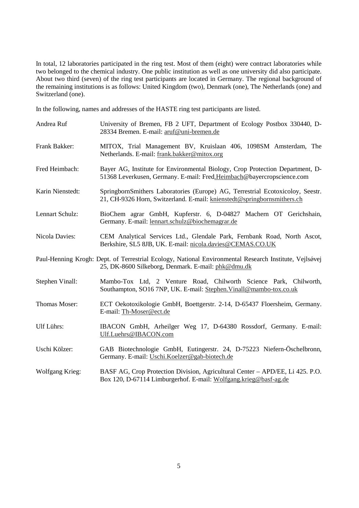In total, 12 laboratories participated in the ring test. Most of them (eight) were contract laboratories while two belonged to the chemical industry. One public institution as well as one university did also participate. About two third (seven) of the ring test participants are located in Germany. The regional background of the remaining institutions is as follows: United Kingdom (two), Denmark (one), The Netherlands (one) and Switzerland (one).

In the following, names and addresses of the HASTE ring test participants are listed.

| Andrea Ruf             | University of Bremen, FB 2 UFT, Department of Ecology Postbox 330440, D-<br>28334 Bremen. E-mail: aruf@uni-bremen.de                                         |
|------------------------|--------------------------------------------------------------------------------------------------------------------------------------------------------------|
| Frank Bakker:          | MITOX, Trial Management BV, Kruislaan 406, 1098SM Amsterdam, The<br>Netherlands. E-mail: frank.bakker@mitox.org                                              |
| Fred Heimbach:         | Bayer AG, Institute for Environmental Biology, Crop Protection Department, D-<br>51368 Leverkusen, Germany. E-mail: Fred.Heimbach@bayercropscience.com       |
| Karin Nienstedt:       | SpringbornSmithers Laboratories (Europe) AG, Terrestrial Ecotoxicoloy, Seestr.<br>21, CH-9326 Horn, Switzerland. E-mail: knienstedt@springbornsmithers.ch    |
| Lennart Schulz:        | BioChem agrar GmbH, Kupferstr. 6, D-04827 Machern OT Gerichshain,<br>Germany. E-mail: lennart.schulz@biochemagrar.de                                         |
| Nicola Davies:         | CEM Analytical Services Ltd., Glendale Park, Fernbank Road, North Ascot,<br>Berkshire, SL5 8JB, UK. E-mail: nicola.davies@CEMAS.CO.UK                        |
|                        | Paul-Henning Krogh: Dept. of Terrestrial Ecology, National Environmental Research Institute, Vejlsøvej<br>25, DK-8600 Silkeborg, Denmark. E-mail: phk@dmu.dk |
| Stephen Vinall:        | Mambo-Tox Ltd, 2 Venture Road, Chilworth Science Park, Chilworth,<br>Southampton, SO16 7NP, UK. E-mail: Stephen. Vinall@mambo-tox.co.uk                      |
| Thomas Moser:          | ECT Oekotoxikologie GmbH, Boettgerstr. 2-14, D-65437 Floersheim, Germany.<br>E-mail: Th-Moser@ect.de                                                         |
| <b>Ulf Lührs:</b>      | IBACON GmbH, Arheilger Weg 17, D-64380 Rossdorf, Germany. E-mail:<br>Ulf.Luehrs@IBACON.com                                                                   |
| Uschi Kölzer:          | GAB Biotechnologie GmbH, Eutingerstr. 24, D-75223 Niefern-Öschelbronn,<br>Germany. E-mail: Uschi.Koelzer@gab-biotech.de                                      |
| <b>Wolfgang Krieg:</b> | BASF AG, Crop Protection Division, Agricultural Center - APD/EE, Li 425. P.O.<br>Box 120, D-67114 Limburgerhof. E-mail: Wolfgang.krieg@basf-ag.de            |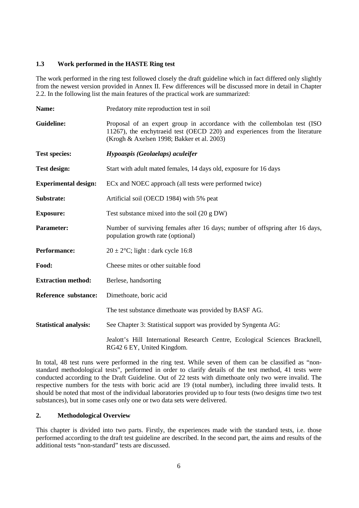### **1.3 Work performed in the HASTE Ring test**

The work performed in the ring test followed closely the draft guideline which in fact differed only slightly from the newest version provided in Annex II. Few differences will be discussed more in detail in Chapter 2.2. In the following list the main features of the practical work are summarized:

| Name:                        | Predatory mite reproduction test in soil                                                                                                                                                               |  |  |  |  |
|------------------------------|--------------------------------------------------------------------------------------------------------------------------------------------------------------------------------------------------------|--|--|--|--|
| <b>Guideline:</b>            | Proposal of an expert group in accordance with the collembolan test (ISO)<br>11267), the enchytraeid test (OECD 220) and experiences from the literature<br>(Krogh & Axelsen 1998; Bakker et al. 2003) |  |  |  |  |
| <b>Test species:</b>         | Hypoaspis (Geolaelaps) aculeifer                                                                                                                                                                       |  |  |  |  |
| <b>Test design:</b>          | Start with a dult mated females, 14 days old, exposure for 16 days                                                                                                                                     |  |  |  |  |
| <b>Experimental design:</b>  | EC <sub>x</sub> and NOEC approach (all tests were performed twice)                                                                                                                                     |  |  |  |  |
| Substrate:                   | Artificial soil (OECD 1984) with 5% peat                                                                                                                                                               |  |  |  |  |
| <b>Exposure:</b>             | Test substance mixed into the soil $(20 \text{ g }DW)$                                                                                                                                                 |  |  |  |  |
| <b>Parameter:</b>            | Number of surviving females after 16 days; number of offspring after 16 days,<br>population growth rate (optional)                                                                                     |  |  |  |  |
| Performance:                 | $20 \pm 2$ °C; light : dark cycle 16:8                                                                                                                                                                 |  |  |  |  |
| Food:                        | Cheese mites or other suitable food                                                                                                                                                                    |  |  |  |  |
| <b>Extraction method:</b>    | Berlese, handsorting                                                                                                                                                                                   |  |  |  |  |
| Reference substance:         | Dimethoate, boric acid                                                                                                                                                                                 |  |  |  |  |
|                              | The test substance dimethoate was provided by BASF AG.                                                                                                                                                 |  |  |  |  |
| <b>Statistical analysis:</b> | See Chapter 3: Statistical support was provided by Syngenta AG:                                                                                                                                        |  |  |  |  |
|                              | Jealott's Hill International Research Centre, Ecological Sciences Bracknell,<br>RG42 6 EY, United Kingdom.                                                                                             |  |  |  |  |

In total, 48 test runs were performed in the ring test. While seven of them can be classified as "nonstandard methodological tests", performed in order to clarify details of the test method, 41 tests were conducted according to the Draft Guideline. Out of 22 tests with dimethoate only two were invalid. The respective numbers for the tests with boric acid are 19 (total number), including three invalid tests. It should be noted that most of the individual laboratories provided up to four tests (two designs time two test substances), but in some cases only one or two data sets were delivered.

### **2. Methodological Overview**

This chapter is divided into two parts. Firstly, the experiences made with the standard tests, i.e. those performed according to the draft test guideline are described. In the second part, the aims and results of the additional tests "non-standard" tests are discussed.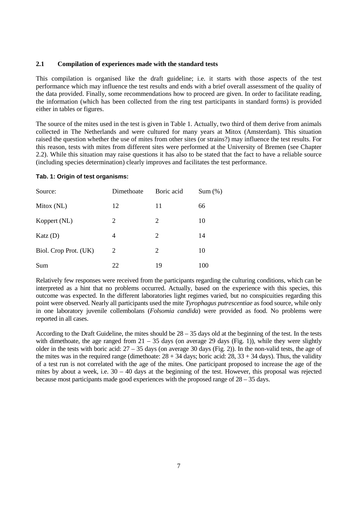### **2.1 Compilation of experiences made with the standard tests**

This compilation is organised like the draft guideline; i.e. it starts with those aspects of the test performance which may influence the test results and ends with a brief overall assessment of the quality of the data provided. Finally, some recommendations how to proceed are given. In order to facilitate reading, the information (which has been collected from the ring test participants in standard forms) is provided either in tables or figures.

The source of the mites used in the test is given in Table 1. Actually, two third of them derive from animals collected in The Netherlands and were cultured for many years at Mitox (Amsterdam). This situation raised the question whether the use of mites from other sites (or strains?) may influence the test results. For this reason, tests with mites from different sites were performed at the University of Bremen (see Chapter 2.2). While this situation may raise questions it has also to be stated that the fact to have a reliable source (including species determination) clearly improves and facilitates the test performance.

### **Tab. 1: Origin of test organisms:**

| Source:               | Dimethoate | Boric acid | Sum( %) |
|-----------------------|------------|------------|---------|
| Mitox (NL)            | 12         | 11         | 66      |
| Koppert (NL)          | 2          | 2          | 10      |
| $\text{Katz}$ (D)     | 4          | 2          | 14      |
| Biol. Crop Prot. (UK) | 2          | 2          | 10      |
| Sum                   | 22         | 19         | 100     |

Relatively few responses were received from the participants regarding the culturing conditions, which can be interpreted as a hint that no problems occurred. Actually, based on the experience with this species, this outcome was expected. In the different laboratories light regimes varied, but no conspicuities regarding this point were observed. Nearly all participants used the mite *Tyrophagus putrescentiae* as food source, while only in one laboratory juvenile collembolans (*Folsomia candida*) were provided as food. No problems were reported in all cases.

According to the Draft Guideline, the mites should be  $28 - 35$  days old at the beginning of the test. In the tests with dimethoate, the age ranged from  $21 - 35$  days (on average 29 days (Fig. 1)), while they were slightly older in the tests with boric acid:  $27 - 35$  days (on average 30 days (Fig. 2)). In the non-valid tests, the age of the mites was in the required range (dimethoate:  $28 + 34$  days; boric acid:  $28$ ,  $33 + 34$  days). Thus, the validity of a test run is not correlated with the age of the mites. One participant proposed to increase the age of the mites by about a week, i.e. 30 – 40 days at the beginning of the test. However, this proposal was rejected because most participants made good experiences with the proposed range of 28 – 35 days.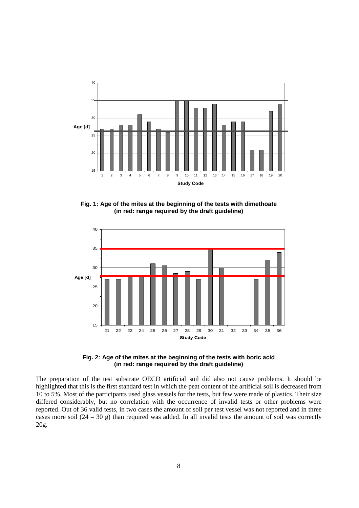

**Fig. 1: Age of the mites at the beginning of the tests with dimethoate (in red: range required by the draft guideline)** 



**Fig. 2: Age of the mites at the beginning of the tests with boric acid (in red: range required by the draft guideline)** 

The preparation of the test substrate OECD artificial soil did also not cause problems. It should be highlighted that this is the first standard test in which the peat content of the artificial soil is decreased from 10 to 5%. Most of the participants used glass vessels for the tests, but few were made of plastics. Their size differed considerably, but no correlation with the occurrence of invalid tests or other problems were reported. Out of 36 valid tests, in two cases the amount of soil per test vessel was not reported and in three cases more soil  $(24 – 30 g)$  than required was added. In all invalid tests the amount of soil was correctly 20g.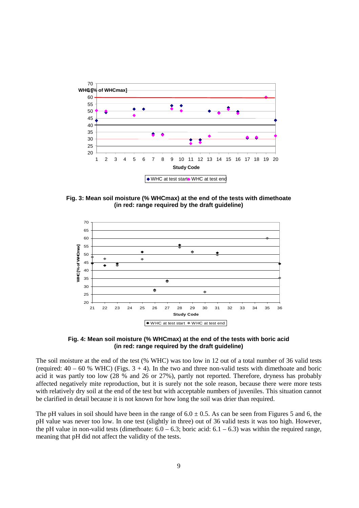

**Fig. 3: Mean soil moisture (% WHCmax) at the end of the tests with dimethoate (in red: range required by the draft guideline)** 



**Fig. 4: Mean soil moisture (% WHCmax) at the end of the tests with boric acid (in red: range required by the draft guideline)** 

The soil moisture at the end of the test (% WHC) was too low in 12 out of a total number of 36 valid tests (required:  $40 - 60$  % WHC) (Figs.  $3 + 4$ ). In the two and three non-valid tests with dimethoate and boric acid it was partly too low (28 % and 26 or 27%), partly not reported. Therefore, dryness has probably affected negatively mite reproduction, but it is surely not the sole reason, because there were more tests with relatively dry soil at the end of the test but with acceptable numbers of juveniles. This situation cannot be clarified in detail because it is not known for how long the soil was drier than required.

The pH values in soil should have been in the range of  $6.0 \pm 0.5$ . As can be seen from Figures 5 and 6, the pH value was never too low. In one test (slightly in three) out of 36 valid tests it was too high. However, the pH value in non-valid tests (dimethoate:  $6.0 - 6.3$ ; boric acid:  $6.1 - 6.3$ ) was within the required range, meaning that pH did not affect the validity of the tests.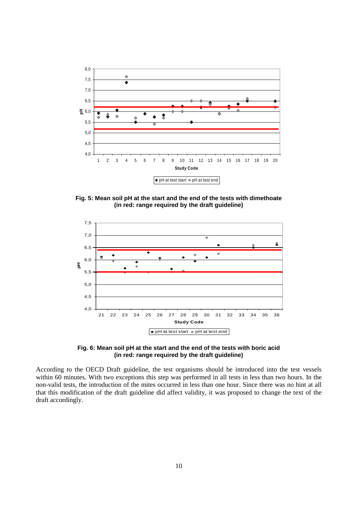

**Fig. 5: Mean soil pH at the start and the end of the tests with dimethoate (in red: range required by the draft guideline)** 



**Fig. 6: Mean soil pH at the start and the end of the tests with boric acid (in red: range required by the draft guideline)** 

According to the OECD Draft guideline, the test organisms should be introduced into the test vessels within 60 minutes. With two exceptions this step was performed in all tests in less than two hours. In the non-valid tests, the introduction of the mites occurred in less than one hour. Since there was no hint at all that this modification of the draft guideline did affect validity, it was proposed to change the text of the draft accordingly.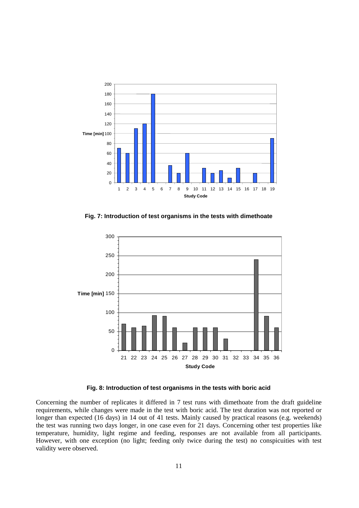

**Fig. 7: Introduction of test organisms in the tests with dimethoate** 



**Fig. 8: Introduction of test organisms in the tests with boric acid** 

Concerning the number of replicates it differed in 7 test runs with dimethoate from the draft guideline requirements, while changes were made in the test with boric acid. The test duration was not reported or longer than expected (16 days) in 14 out of 41 tests. Mainly caused by practical reasons (e.g. weekends) the test was running two days longer, in one case even for 21 days. Concerning other test properties like temperature, humidity, light regime and feeding, responses are not available from all participants. However, with one exception (no light; feeding only twice during the test) no conspicuities with test validity were observed.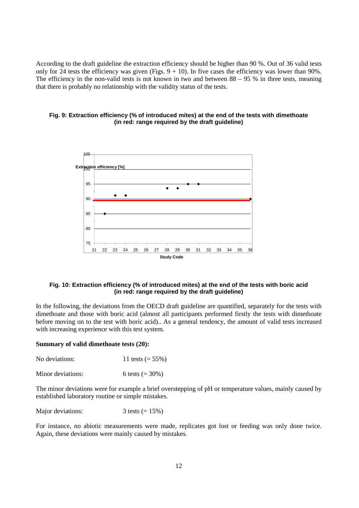According to the draft guideline the extraction efficiency should be higher than 90 %. Out of 36 valid tests only for 24 tests the efficiency was given (Figs.  $9 + 10$ ). In five cases the efficiency was lower than 90%. The efficiency in the non-valid tests is not known in two and between  $88 - 95$  % in three tests, meaning that there is probably no relationship with the validity status of the tests.



### **Fig. 9: Extraction efficiency (% of introduced mites) at the end of the tests with dimethoate (in red: range required by the draft guideline)**

### **Fig. 10: Extraction efficiency (% of introduced mites) at the end of the tests with boric acid (in red: range required by the draft guideline)**

In the following, the deviations from the OECD draft guideline are quantified, separately for the tests with dimethoate and those with boric acid (almost all participants performed firstly the tests with dimethoate before moving on to the test with boric acid).. As a general tendency, the amount of valid tests increased with increasing experience with this test system.

#### **Summary of valid dimethoate tests (20):**

| No deviations: | 11 tests $(= 55\%)$ |
|----------------|---------------------|
|                |                     |

Minor deviations:  $6 \text{ tests } (= 30\%)$ 

The minor deviations were for example a brief overstepping of pH or temperature values, mainly caused by established laboratory routine or simple mistakes.

Major deviations:  $3 \text{ tests } (= 15\%)$ 

For instance, no abiotic measurements were made, replicates got lost or feeding was only done twice. Again, these deviations were mainly caused by mistakes.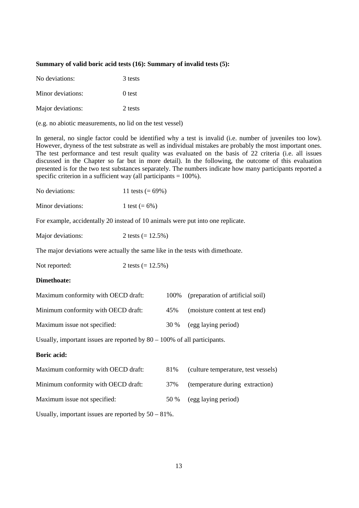#### **Summary of valid boric acid tests (16): Summary of invalid tests (5):**

| No deviations:    | 3 tests |
|-------------------|---------|
| Minor deviations: | 0 test  |
| Major deviations: | 2 tests |

(e.g. no abiotic measurements, no lid on the test vessel)

In general, no single factor could be identified why a test is invalid (i.e. number of juveniles too low). However, dryness of the test substrate as well as individual mistakes are probably the most important ones. The test performance and test result quality was evaluated on the basis of 22 criteria (i.e. all issues discussed in the Chapter so far but in more detail). In the following, the outcome of this evaluation presented is for the two test substances separately. The numbers indicate how many participants reported a specific criterion in a sufficient way (all participants  $= 100\%$ ).

| No deviations:    | 11 tests $(= 69\%)$ |
|-------------------|---------------------|
| Minor deviations: | 1 test $(= 6\%)$    |

For example, accidentally 20 instead of 10 animals were put into one replicate.

| Major deviations: | 2 tests $(= 12.5\%)$ |
|-------------------|----------------------|
|-------------------|----------------------|

The major deviations were actually the same like in the tests with dimethoate.

Not reported:  $2 \text{ tests } (= 12.5\%)$ 

#### **Dimethoate:**

| Maximum conformity with OECD draft: |     | 100% (preparation of artificial soil) |
|-------------------------------------|-----|---------------------------------------|
| Minimum conformity with OECD draft: | 45% | (moisture content at test end)        |
| Maximum issue not specified:        |     | 30 % (egg laying period)              |

Usually, important issues are reported by 80 – 100% of all participants.

### **Boric acid:**

| Maximum conformity with OECD draft: | 81%  | (culture temperature, test vessels) |
|-------------------------------------|------|-------------------------------------|
| Minimum conformity with OECD draft: | 37%  | (temperature during extraction)     |
| Maximum issue not specified:        | 50 % | (egg laying period)                 |

Usually, important issues are reported by 50 – 81%.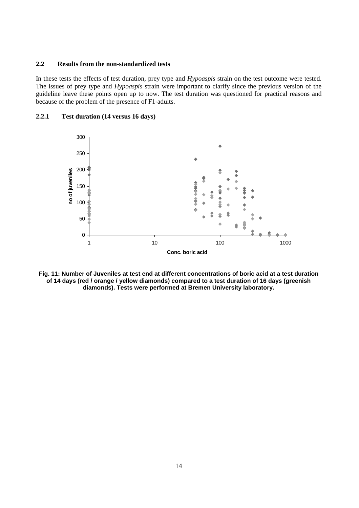### **2.2 Results from the non-standardized tests**

In these tests the effects of test duration, prey type and *Hypoaspis* strain on the test outcome were tested. The issues of prey type and *Hypoaspis* strain were important to clarify since the previous version of the guideline leave these points open up to now. The test duration was questioned for practical reasons and because of the problem of the presence of F1-adults.

### **2.2.1 Test duration (14 versus 16 days)**



**Fig. 11: Number of Juveniles at test end at different concentrations of boric acid at a test duration of 14 days (red / orange / yellow diamonds) compared to a test duration of 16 days (greenish diamonds). Tests were performed at Bremen University laboratory.**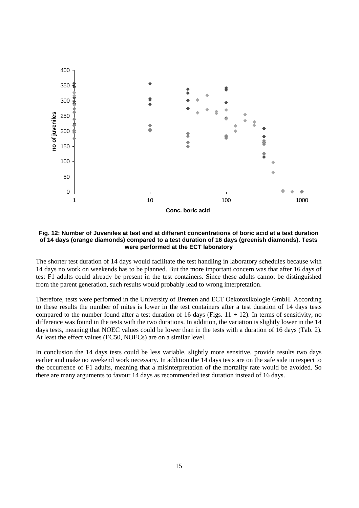

#### **Fig. 12: Number of Juveniles at test end at different concentrations of boric acid at a test duration of 14 days (orange diamonds) compared to a test duration of 16 days (greenish diamonds). Tests were performed at the ECT laboratory**

The shorter test duration of 14 days would facilitate the test handling in laboratory schedules because with 14 days no work on weekends has to be planned. But the more important concern was that after 16 days of test F1 adults could already be present in the test containers. Since these adults cannot be distinguished from the parent generation, such results would probably lead to wrong interpretation.

Therefore, tests were performed in the University of Bremen and ECT Oekotoxikologie GmbH. According to these results the number of mites is lower in the test containers after a test duration of 14 days tests compared to the number found after a test duration of 16 days (Figs.  $11 + 12$ ). In terms of sensitivity, no difference was found in the tests with the two durations. In addition, the variation is slightly lower in the 14 days tests, meaning that NOEC values could be lower than in the tests with a duration of 16 days (Tab. 2). At least the effect values (EC50, NOECs) are on a similar level.

In conclusion the 14 days tests could be less variable, slightly more sensitive, provide results two days earlier and make no weekend work necessary. In addition the 14 days tests are on the safe side in respect to the occurrence of F1 adults, meaning that a misinterpretation of the mortality rate would be avoided. So there are many arguments to favour 14 days as recommended test duration instead of 16 days.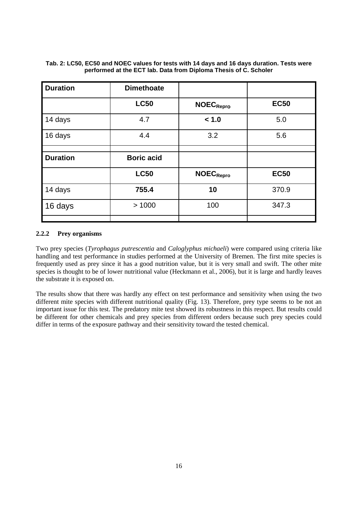| <b>Duration</b> | <b>Dimethoate</b> |                              |             |
|-----------------|-------------------|------------------------------|-------------|
|                 | <b>LC50</b>       | <b>NOEC</b> <sub>Repro</sub> | <b>EC50</b> |
| 14 days         | 4.7               | < 1.0                        | 5.0         |
| 16 days         | 4.4               | 3.2                          | 5.6         |
|                 |                   |                              |             |
| <b>Duration</b> | <b>Boric acid</b> |                              |             |
|                 | <b>LC50</b>       | <b>NOEC</b> <sub>Repro</sub> | <b>EC50</b> |
| 14 days         | 755.4             | 10                           | 370.9       |
| 16 days         | >1000             | 100                          | 347.3       |
|                 |                   |                              |             |

**Tab. 2: LC50, EC50 and NOEC values for tests with 14 days and 16 days duration. Tests were performed at the ECT lab. Data from Diploma Thesis of C. Scholer** 

### **2.2.2 Prey organisms**

Two prey species (*Tyrophagus putrescentia* and *Caloglyphus michaeli*) were compared using criteria like handling and test performance in studies performed at the University of Bremen. The first mite species is frequently used as prey since it has a good nutrition value, but it is very small and swift. The other mite species is thought to be of lower nutritional value (Heckmann et al., 2006), but it is large and hardly leaves the substrate it is exposed on.

The results show that there was hardly any effect on test performance and sensitivity when using the two different mite species with different nutritional quality (Fig. 13). Therefore, prey type seems to be not an important issue for this test. The predatory mite test showed its robustness in this respect. But results could be different for other chemicals and prey species from different orders because such prey species could differ in terms of the exposure pathway and their sensitivity toward the tested chemical.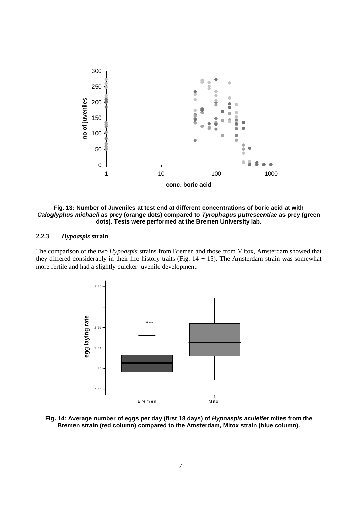

**Fig. 13: Number of Juveniles at test end at different concentrations of boric acid at with**  *Caloglyphus michaeli* **as prey (orange dots) compared to** *Tyrophagus putrescentiae* **as prey (green dots). Tests were performed at the Bremen University lab.** 

### **2.2.3** *Hypoaspis* **strain**

The comparison of the two *Hypoaspis* strains from Bremen and those from Mitox, Amsterdam showed that they differed considerably in their life history traits (Fig.  $14 + 15$ ). The Amsterdam strain was somewhat more fertile and had a slightly quicker juvenile development.



**Fig. 14: Average number of eggs per day (first 18 days) of** *Hypoaspis aculeifer* **mites from the Bremen strain (red column) compared to the Amsterdam, Mitox strain (blue column).**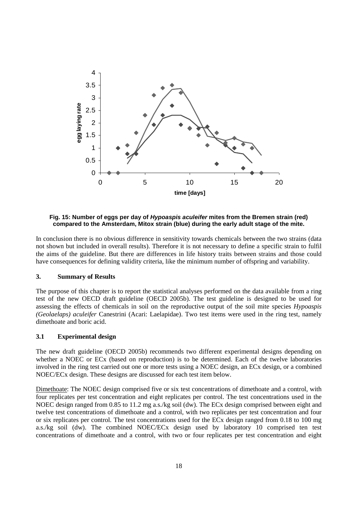

**Fig. 15: Number of eggs per day of** *Hypoaspis aculeifer* **mites from the Bremen strain (red) compared to the Amsterdam, Mitox strain (blue) during the early adult stage of the mite.** 

In conclusion there is no obvious difference in sensitivity towards chemicals between the two strains (data not shown but included in overall results). Therefore it is not necessary to define a specific strain to fulfil the aims of the guideline. But there are differences in life history traits between strains and those could have consequences for defining validity criteria, like the minimum number of offspring and variability.

### **3. Summary of Results**

The purpose of this chapter is to report the statistical analyses performed on the data available from a ring test of the new OECD draft guideline (OECD 2005b). The test guideline is designed to be used for assessing the effects of chemicals in soil on the reproductive output of the soil mite species *Hypoaspis (Geolaelaps) aculeifer* Canestrini (Acari: Laelapidae). Two test items were used in the ring test, namely dimethoate and boric acid.

#### **3.1 Experimental design**

The new draft guideline (OECD 2005b) recommends two different experimental designs depending on whether a NOEC or ECx (based on reproduction) is to be determined. Each of the twelve laboratories involved in the ring test carried out one or more tests using a NOEC design, an ECx design, or a combined NOEC/ECx design. These designs are discussed for each test item below.

Dimethoate: The NOEC design comprised five or six test concentrations of dimethoate and a control, with four replicates per test concentration and eight replicates per control. The test concentrations used in the NOEC design ranged from 0.85 to 11.2 mg a.s./kg soil (dw). The ECx design comprised between eight and twelve test concentrations of dimethoate and a control, with two replicates per test concentration and four or six replicates per control. The test concentrations used for the ECx design ranged from 0.18 to 100 mg a.s./kg soil (dw). The combined NOEC/ECx design used by laboratory 10 comprised ten test concentrations of dimethoate and a control, with two or four replicates per test concentration and eight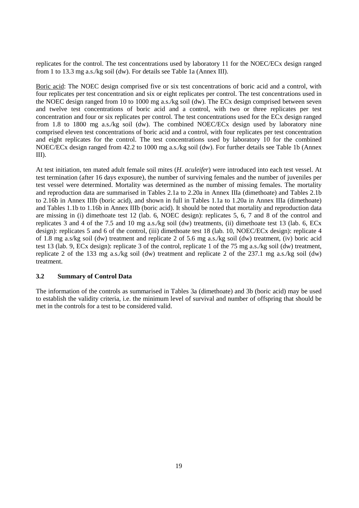replicates for the control. The test concentrations used by laboratory 11 for the NOEC/ECx design ranged from 1 to 13.3 mg a.s./kg soil (dw). For details see Table 1a (Annex III).

Boric acid: The NOEC design comprised five or six test concentrations of boric acid and a control, with four replicates per test concentration and six or eight replicates per control. The test concentrations used in the NOEC design ranged from 10 to 1000 mg a.s./kg soil (dw). The ECx design comprised between seven and twelve test concentrations of boric acid and a control, with two or three replicates per test concentration and four or six replicates per control. The test concentrations used for the ECx design ranged from 1.8 to 1800 mg a.s./kg soil (dw). The combined NOEC/ECx design used by laboratory nine comprised eleven test concentrations of boric acid and a control, with four replicates per test concentration and eight replicates for the control. The test concentrations used by laboratory 10 for the combined NOEC/ECx design ranged from 42.2 to 1000 mg a.s./kg soil (dw). For further details see Table 1b (Annex III).

At test initiation, ten mated adult female soil mites (*H. aculeifer*) were introduced into each test vessel. At test termination (after 16 days exposure), the number of surviving females and the number of juveniles per test vessel were determined. Mortality was determined as the number of missing females. The mortality and reproduction data are summarised in Tables 2.1a to 2.20a in Annex IIIa (dimethoate) and Tables 2.1b to 2.16b in Annex IIIb (boric acid), and shown in full in Tables 1.1a to 1.20a in Annex IIIa (dimethoate) and Tables 1.1b to 1.16b in Annex IIIb (boric acid). It should be noted that mortality and reproduction data are missing in (i) dimethoate test 12 (lab. 6, NOEC design): replicates 5, 6, 7 and 8 of the control and replicates 3 and 4 of the 7.5 and 10 mg a.s./kg soil (dw) treatments, (ii) dimethoate test 13 (lab. 6, ECx design): replicates 5 and 6 of the control, (iii) dimethoate test 18 (lab. 10, NOEC/ECx design): replicate 4 of 1.8 mg a.s/kg soil (dw) treatment and replicate 2 of 5.6 mg a.s./kg soil (dw) treatment, (iv) boric acid test 13 (lab. 9, ECx design): replicate 3 of the control, replicate 1 of the 75 mg a.s./kg soil (dw) treatment, replicate 2 of the 133 mg a.s./kg soil (dw) treatment and replicate 2 of the 237.1 mg a.s./kg soil (dw) treatment.

#### **3.2 Summary of Control Data**

The information of the controls as summarised in Tables 3a (dimethoate) and 3b (boric acid) may be used to establish the validity criteria, i.e. the minimum level of survival and number of offspring that should be met in the controls for a test to be considered valid.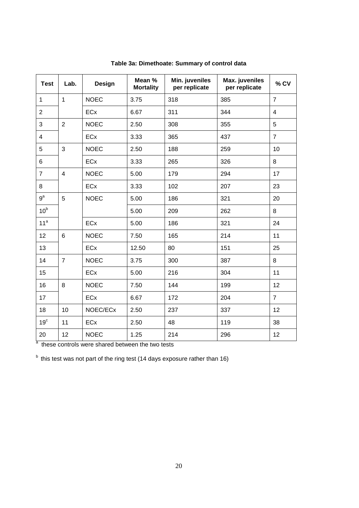| <b>Test</b>     | Lab.           | <b>Design</b> | Mean %<br><b>Mortality</b> | Min. juveniles<br>per replicate | Max. juveniles<br>per replicate | % CV           |
|-----------------|----------------|---------------|----------------------------|---------------------------------|---------------------------------|----------------|
| $\mathbf 1$     | $\mathbf{1}$   | <b>NOEC</b>   | 3.75                       | 318                             | 385                             | $\overline{7}$ |
| $\overline{2}$  |                | <b>ECx</b>    | 6.67                       | 311                             | 344                             | $\overline{4}$ |
| 3               | $\overline{2}$ | <b>NOEC</b>   | 2.50                       | 308                             | 355                             | 5              |
| $\overline{4}$  |                | ECx           | 3.33                       | 365                             | 437                             | $\overline{7}$ |
| 5               | $\mathfrak{S}$ | <b>NOEC</b>   | 2.50                       | 188                             | 259                             | 10             |
| 6               |                | ECx           | 3.33                       | 265                             | 326                             | 8              |
| $\overline{7}$  | $\overline{4}$ | <b>NOEC</b>   | 5.00                       | 179                             | 294                             | 17             |
| 8               |                | ECx           | 3.33                       | 102                             | 207                             | 23             |
| $9^a$           | 5              | <b>NOEC</b>   | 5.00                       | 186                             | 321                             | 20             |
| 10 <sup>b</sup> |                |               | 5.00                       | 209                             | 262                             | 8              |
| 11 <sup>a</sup> |                | ECx           | 5.00                       | 186                             | 321                             | 24             |
| 12              | 6              | <b>NOEC</b>   | 7.50                       | 165                             | 214                             | 11             |
| 13              |                | ECx           | 12.50                      | 80                              | 151                             | 25             |
| 14              | $\overline{7}$ | <b>NOEC</b>   | 3.75                       | 300                             | 387                             | 8              |
| 15              |                | ECx           | 5.00                       | 216                             | 304                             | 11             |
| 16              | 8              | <b>NOEC</b>   | 7.50                       | 144                             | 199                             | 12             |
| 17              |                | ECx           | 6.67                       | 172                             | 204                             | $\overline{7}$ |
| 18              | 10             | NOEC/ECx      | 2.50                       | 237                             | 337                             | 12             |
| 19 <sup>c</sup> | 11             | ECx           | 2.50                       | 48                              | 119                             | 38             |
| 20              | 12             | <b>NOEC</b>   | 1.25                       | 214                             | 296                             | 12             |

**Table 3a: Dimethoate: Summary of control data** 

<sup>a</sup> these controls were shared between the two tests

 $<sup>b</sup>$  this test was not part of the ring test (14 days exposure rather than 16)</sup>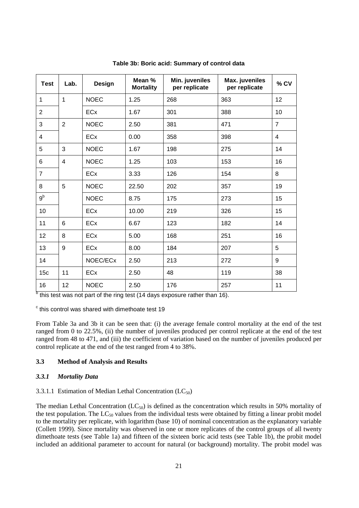| <b>Test</b>     | Lab.           | <b>Design</b>         | Mean %<br><b>Mortality</b> | Min. juveniles<br>per replicate | Max. juveniles<br>per replicate | % CV           |
|-----------------|----------------|-----------------------|----------------------------|---------------------------------|---------------------------------|----------------|
| $\mathbf{1}$    | $\mathbf{1}$   | <b>NOEC</b>           | 1.25                       | 268                             | 363                             | 12             |
| 2               |                | ECx                   | 1.67                       | 301                             | 388                             | 10             |
| 3               | $\overline{2}$ | <b>NOEC</b>           | 2.50                       | 381                             | 471                             | $\overline{7}$ |
| $\overline{4}$  |                | <b>EC<sub>x</sub></b> | 0.00                       | 358                             | 398                             | $\overline{4}$ |
| 5               | 3              | <b>NOEC</b>           | 1.67                       | 198                             | 275                             | 14             |
| 6               | 4              | <b>NOEC</b>           | 1.25                       | 103                             | 153                             | 16             |
| $\overline{7}$  |                | <b>ECx</b>            | 3.33                       | 126                             | 154                             | 8              |
| 8               | 5              | <b>NOEC</b>           | 22.50                      | 202                             | 357                             | 19             |
| 9 <sup>b</sup>  |                | <b>NOEC</b>           | 8.75                       | 175                             | 273                             | 15             |
| 10              |                | <b>ECx</b>            | 10.00                      | 219                             | 326                             | 15             |
| 11              | 6              | <b>ECx</b>            | 6.67                       | 123                             | 182                             | 14             |
| 12              | 8              | ECx                   | 5.00                       | 168                             | 251                             | 16             |
| 13              | 9              | <b>ECx</b>            | 8.00                       | 184                             | 207                             | 5              |
| 14              |                | NOEC/ECx              | 2.50                       | 213                             | 272                             | 9              |
| 15 <sub>c</sub> | 11             | ECx                   | 2.50                       | 48                              | 119                             | 38             |
| 16              | 12             | <b>NOEC</b>           | 2.50                       | 176                             | 257                             | 11             |

**Table 3b: Boric acid: Summary of control data** 

<sup>b</sup> this test was not part of the ring test (14 days exposure rather than 16).

 $\textdegree$  this control was shared with dimethoate test 19

From Table 3a and 3b it can be seen that: (i) the average female control mortality at the end of the test ranged from 0 to 22.5%, (ii) the number of juveniles produced per control replicate at the end of the test ranged from 48 to 471, and (iii) the coefficient of variation based on the number of juveniles produced per control replicate at the end of the test ranged from 4 to 38%.

#### **3.3 Method of Analysis and Results**

#### *3.3.1 Mortality Data*

#### 3.3.1.1 Estimation of Median Lethal Concentration  $(LC_{50})$

The median Lethal Concentration  $(LC_{50})$  is defined as the concentration which results in 50% mortality of the test population. The  $LC_{50}$  values from the individual tests were obtained by fitting a linear probit model to the mortality per replicate, with logarithm (base 10) of nominal concentration as the explanatory variable (Collett 1999). Since mortality was observed in one or more replicates of the control groups of all twenty dimethoate tests (see Table 1a) and fifteen of the sixteen boric acid tests (see Table 1b), the probit model included an additional parameter to account for natural (or background) mortality. The probit model was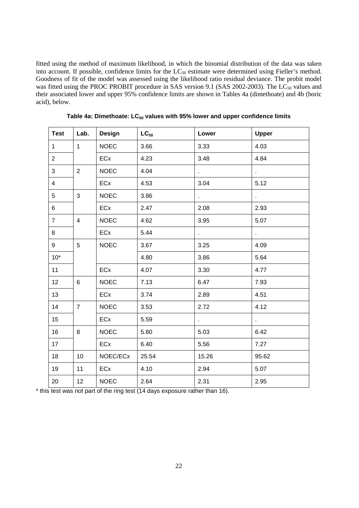fitted using the method of maximum likelihood, in which the binomial distribution of the data was taken into account. If possible, confidence limits for the  $LC_{50}$  estimate were determined using Fieller's method. Goodness of fit of the model was assessed using the likelihood ratio residual deviance. The probit model was fitted using the PROC PROBIT procedure in SAS version 9.1 (SAS 2002-2003). The LC<sub>50</sub> values and their associated lower and upper 95% confidence limits are shown in Tables 4a (dimethoate) and 4b (boric acid), below.

| <b>Test</b>     | Lab.            | <b>Design</b> | $LC_{50}$ | Lower | <b>Upper</b>   |
|-----------------|-----------------|---------------|-----------|-------|----------------|
| $\mathbf{1}$    | $\mathbf{1}$    | <b>NOEC</b>   | 3.66      | 3.33  | 4.03           |
| $\overline{2}$  |                 | ECx           | 4.23      | 3.48  | 4.84           |
| $\mathbf{3}$    | $\overline{2}$  | <b>NOEC</b>   | 4.04      | ¥.    | ¥.             |
| $\overline{4}$  |                 | ECx           | 4.53      | 3.04  | 5.12           |
| $5\overline{)}$ | 3               | <b>NOEC</b>   | 3.86      | ¥.    | $\mathbf{r}$   |
| $6\phantom{a}$  |                 | ECx           | 2.47      | 2.08  | 2.93           |
| $\overline{7}$  | $\overline{4}$  | <b>NOEC</b>   | 4.62      | 3.95  | 5.07           |
| 8               |                 | ECx           | 5.44      | k,    | ¥,             |
| 9               | 5               | <b>NOEC</b>   | 3.67      | 3.25  | 4.09           |
| $10*$           |                 |               | 4.80      | 3.86  | 5.64           |
| 11              |                 | ECx           | 4.07      | 3.30  | 4.77           |
| 12              | 6               | <b>NOEC</b>   | 7.13      | 6.47  | 7.93           |
| 13              |                 | ECx           | 3.74      | 2.89  | 4.51           |
| 14              | $\overline{7}$  | <b>NOEC</b>   | 3.53      | 2.72  | 4.12           |
| 15 <sub>1</sub> |                 | ECx           | 5.59      | k.    | $\blacksquare$ |
| 16              | 8               | <b>NOEC</b>   | 5.80      | 5.03  | 6.42           |
| 17              |                 | ECx           | 6.40      | 5.56  | 7.27           |
| 18              | 10              | NOEC/ECx      | 25.54     | 15.26 | 95.62          |
| 19              | 11              | ECx           | 4.10      | 2.94  | 5.07           |
| 20              | 12 <sub>2</sub> | <b>NOEC</b>   | 2.64      | 2.31  | 2.95           |

Table 4a: Dimethoate: LC<sub>50</sub> values with 95% lower and upper confidence limits

\* this test was not part of the ring test (14 days exposure rather than 16).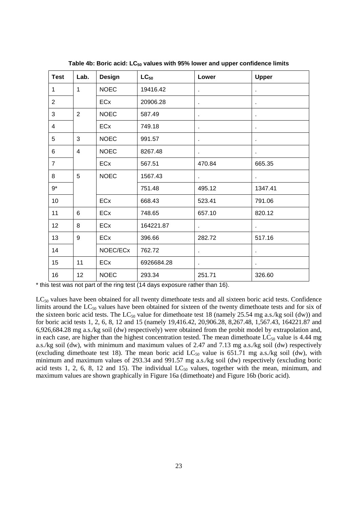| <b>Test</b>    | Lab.           | Design      | $LC_{50}$  | Lower          | <b>Upper</b>   |
|----------------|----------------|-------------|------------|----------------|----------------|
| $\mathbf{1}$   | $\mathbf{1}$   | <b>NOEC</b> | 19416.42   | $\mathbf{r}$   |                |
| $\overline{2}$ |                | ECx         | 20906.28   | à.             |                |
| 3              | 2              | <b>NOEC</b> | 587.49     | $\blacksquare$ | $\bullet$      |
| $\overline{4}$ |                | ECx         | 749.18     | ¥,             | $\bullet$      |
| 5              | 3              | <b>NOEC</b> | 991.57     | $\bullet$      |                |
| 6              | $\overline{4}$ | <b>NOEC</b> | 8267.48    | $\mathbf{r}$   | $\blacksquare$ |
| $\overline{7}$ |                | ECx         | 567.51     | 470.84         | 665.35         |
| 8              | 5              | <b>NOEC</b> | 1567.43    | $\mathbf{r}$   | $\bullet$ .    |
| $9^*$          |                |             | 751.48     | 495.12         | 1347.41        |
| 10             |                | ECx         | 668.43     | 523.41         | 791.06         |
| 11             | 6              | ECx         | 748.65     | 657.10         | 820.12         |
| 12             | 8              | ECx         | 164221.87  | ¥.             |                |
| 13             | 9              | ECx         | 396.66     | 282.72         | 517.16         |
| 14             |                | NOEC/ECx    | 762.72     | $\mathbf{r}$   | $\mathbf{r}$   |
| 15             | 11             | ECx         | 6926684.28 | $\mathbf{r}$   | $\bullet$      |
| 16             | 12             | <b>NOEC</b> | 293.34     | 251.71         | 326.60         |

Table 4b: Boric acid: LC<sub>50</sub> values with 95% lower and upper confidence limits

\* this test was not part of the ring test (14 days exposure rather than 16).

LC<sub>50</sub> values have been obtained for all twenty dimethoate tests and all sixteen boric acid tests. Confidence limits around the  $LC_{50}$  values have been obtained for sixteen of the twenty dimethoate tests and for six of the sixteen boric acid tests. The LC<sub>50</sub> value for dimethoate test 18 (namely 25.54 mg a.s./kg soil (dw)) and for boric acid tests 1, 2, 6, 8, 12 and 15 (namely 19,416.42, 20,906.28, 8,267.48, 1,567.43, 164221.87 and 6,926,684.28 mg a.s./kg soil (dw) respectively) were obtained from the probit model by extrapolation and, in each case, are higher than the highest concentration tested. The mean dimethoate  $LC_{50}$  value is 4.44 mg a.s./kg soil (dw), with minimum and maximum values of 2.47 and 7.13 mg a.s./kg soil (dw) respectively (excluding dimethoate test 18). The mean boric acid  $LC_{50}$  value is 651.71 mg a.s./kg soil (dw), with minimum and maximum values of 293.34 and 991.57 mg a.s./kg soil (dw) respectively (excluding boric acid tests 1, 2, 6, 8, 12 and 15). The individual  $LC_{50}$  values, together with the mean, minimum, and maximum values are shown graphically in Figure 16a (dimethoate) and Figure 16b (boric acid).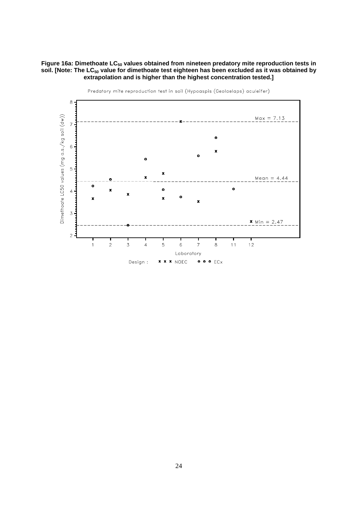Figure 16a: Dimethoate LC<sub>50</sub> values obtained from nineteen predatory mite reproduction tests in soil. [Note: The LC<sub>50</sub> value for dimethoate test eighteen has been excluded as it was obtained by **extrapolation and is higher than the highest concentration tested.]** 



Predatory mite reproduction test in soil (Hypoaspis (Geolaelaps) aculeifer)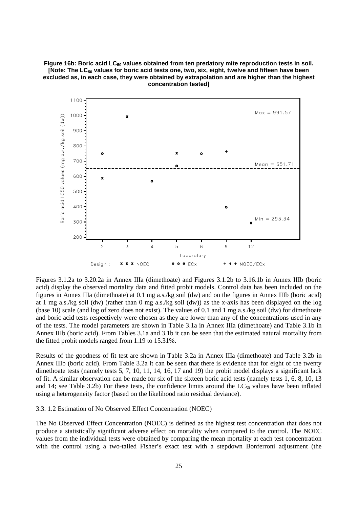Figure 16b: Boric acid LC<sub>50</sub> values obtained from ten predatory mite reproduction tests in soil. [Note: The LC<sub>50</sub> values for boric acid tests one, two, six, eight, twelve and fifteen have been **excluded as, in each case, they were obtained by extrapolation and are higher than the highest concentration tested]** 



Figures 3.1.2a to 3.20.2a in Annex IIIa (dimethoate) and Figures 3.1.2b to 3.16.1b in Annex IIIb (boric acid) display the observed mortality data and fitted probit models. Control data has been included on the figures in Annex IIIa (dimethoate) at 0.1 mg a.s./kg soil (dw) and on the figures in Annex IIIb (boric acid) at 1 mg a.s./kg soil (dw) (rather than 0 mg a.s./kg soil (dw)) as the x-axis has been displayed on the log (base 10) scale (and log of zero does not exist). The values of 0.1 and 1 mg a.s./kg soil (dw) for dimethoate and boric acid tests respectively were chosen as they are lower than any of the concentrations used in any of the tests. The model parameters are shown in Table 3.1a in Annex IIIa (dimethoate) and Table 3.1b in Annex IIIb (boric acid). From Tables 3.1a and 3.1b it can be seen that the estimated natural mortality from the fitted probit models ranged from 1.19 to 15.31%.

Results of the goodness of fit test are shown in Table 3.2a in Annex IIIa (dimethoate) and Table 3.2b in Annex IIIb (boric acid). From Table 3.2a it can be seen that there is evidence that for eight of the twenty dimethoate tests (namely tests 5, 7, 10, 11, 14, 16, 17 and 19) the probit model displays a significant lack of fit. A similar observation can be made for six of the sixteen boric acid tests (namely tests 1, 6, 8, 10, 13 and 14; see Table 3.2b) For these tests, the confidence limits around the  $LC_{50}$  values have been inflated using a heterogeneity factor (based on the likelihood ratio residual deviance).

#### 3.3. 1.2 Estimation of No Observed Effect Concentration (NOEC)

The No Observed Effect Concentration (NOEC) is defined as the highest test concentration that does not produce a statistically significant adverse effect on mortality when compared to the control. The NOEC values from the individual tests were obtained by comparing the mean mortality at each test concentration with the control using a two-tailed Fisher's exact test with a stepdown Bonferroni adjustment (the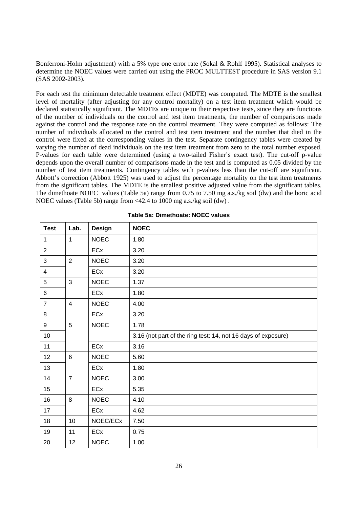Bonferroni-Holm adjustment) with a 5% type one error rate (Sokal & Rohlf 1995). Statistical analyses to determine the NOEC values were carried out using the PROC MULTTEST procedure in SAS version 9.1 (SAS 2002-2003).

For each test the minimum detectable treatment effect (MDTE) was computed. The MDTE is the smallest level of mortality (after adjusting for any control mortality) on a test item treatment which would be declared statistically significant. The MDTEs are unique to their respective tests, since they are functions of the number of individuals on the control and test item treatments, the number of comparisons made against the control and the response rate on the control treatment. They were computed as follows: The number of individuals allocated to the control and test item treatment and the number that died in the control were fixed at the corresponding values in the test. Separate contingency tables were created by varying the number of dead individuals on the test item treatment from zero to the total number exposed. P-values for each table were determined (using a two-tailed Fisher's exact test). The cut-off p-value depends upon the overall number of comparisons made in the test and is computed as 0.05 divided by the number of test item treatments. Contingency tables with p-values less than the cut-off are significant. Abbott's correction (Abbott 1925) was used to adjust the percentage mortality on the test item treatments from the significant tables. The MDTE is the smallest positive adjusted value from the significant tables. The dimethoate NOEC values (Table 5a) range from 0.75 to 7.50 mg a.s./kg soil (dw) and the boric acid NOEC values (Table 5b) range from <42.4 to 1000 mg a.s./kg soil (dw) .

| <b>Test</b>    | Lab.           | <b>Design</b> | <b>NOEC</b>                                                   |
|----------------|----------------|---------------|---------------------------------------------------------------|
| $\mathbf 1$    | $\mathbf{1}$   | <b>NOEC</b>   | 1.80                                                          |
| $\overline{2}$ |                | ECx           | 3.20                                                          |
| 3              | $\overline{2}$ | <b>NOEC</b>   | 3.20                                                          |
| 4              |                | ECx           | 3.20                                                          |
| 5              | $\mathfrak{S}$ | <b>NOEC</b>   | 1.37                                                          |
| 6              |                | ECx           | 1.80                                                          |
| $\overline{7}$ | $\overline{4}$ | <b>NOEC</b>   | 4.00                                                          |
| 8              |                | ECx           | 3.20                                                          |
| 9              | 5              | <b>NOEC</b>   | 1.78                                                          |
| $10$           |                |               | 3.16 (not part of the ring test: 14, not 16 days of exposure) |
| 11             |                | ECx           | 3.16                                                          |
| 12             | 6              | <b>NOEC</b>   | 5.60                                                          |
| 13             |                | ECx           | 1.80                                                          |
| 14             | $\overline{7}$ | <b>NOEC</b>   | 3.00                                                          |
| 15             |                | ECx           | 5.35                                                          |
| 16             | 8              | <b>NOEC</b>   | 4.10                                                          |
| 17             |                | ECx           | 4.62                                                          |
| 18             | 10             | NOEC/ECx      | 7.50                                                          |
| 19             | 11             | ECx           | 0.75                                                          |
| 20             | 12             | <b>NOEC</b>   | 1.00                                                          |

|  |  | Table 5a: Dimethoate: NOEC values |
|--|--|-----------------------------------|
|--|--|-----------------------------------|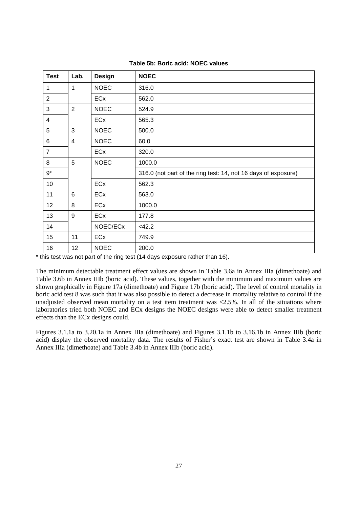| <b>Test</b>             | Lab.           | <b>Design</b> | <b>NOEC</b>                                                    |
|-------------------------|----------------|---------------|----------------------------------------------------------------|
| 1                       | 1              | <b>NOEC</b>   | 316.0                                                          |
| $\overline{2}$          |                | ECx           | 562.0                                                          |
| 3                       | $\overline{2}$ | <b>NOEC</b>   | 524.9                                                          |
| $\overline{\mathbf{4}}$ |                | ECx           | 565.3                                                          |
| 5                       | 3              | <b>NOEC</b>   | 500.0                                                          |
| 6                       | $\overline{4}$ | <b>NOEC</b>   | 60.0                                                           |
| $\overline{7}$          |                | ECx           | 320.0                                                          |
| 8                       | 5              | <b>NOEC</b>   | 1000.0                                                         |
| $9^*$                   |                |               | 316.0 (not part of the ring test: 14, not 16 days of exposure) |
| 10                      |                | <b>ECx</b>    | 562.3                                                          |
| 11                      | 6              | ECx           | 563.0                                                          |
| 12                      | 8              | ECx           | 1000.0                                                         |
| 13                      | 9              | ECx           | 177.8                                                          |
| 14                      |                | NOEC/ECx      | $<$ 42.2                                                       |
| 15                      | 11             | <b>ECx</b>    | 749.9                                                          |
| 16                      | 12             | <b>NOEC</b>   | 200.0                                                          |

| Table 5b: Boric acid: NOEC values |  |  |  |  |
|-----------------------------------|--|--|--|--|
|-----------------------------------|--|--|--|--|

\* this test was not part of the ring test (14 days exposure rather than 16).

The minimum detectable treatment effect values are shown in Table 3.6a in Annex IIIa (dimethoate) and Table 3.6b in Annex IIIb (boric acid). These values, together with the minimum and maximum values are shown graphically in Figure 17a (dimethoate) and Figure 17b (boric acid). The level of control mortality in boric acid test 8 was such that it was also possible to detect a decrease in mortality relative to control if the unadjusted observed mean mortality on a test item treatment was  $\langle 2.5\%$ . In all of the situations where laboratories tried both NOEC and ECx designs the NOEC designs were able to detect smaller treatment effects than the ECx designs could.

Figures 3.1.1a to 3.20.1a in Annex IIIa (dimethoate) and Figures 3.1.1b to 3.16.1b in Annex IIIb (boric acid) display the observed mortality data. The results of Fisher's exact test are shown in Table 3.4a in Annex IIIa (dimethoate) and Table 3.4b in Annex IIIb (boric acid).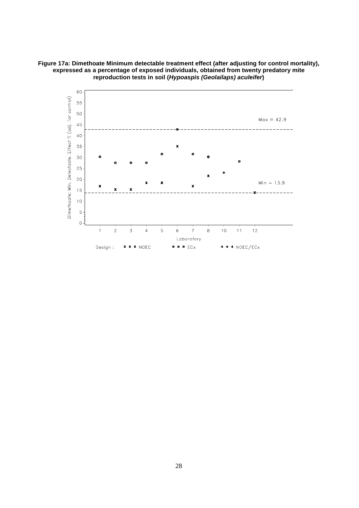**Figure 17a: Dimethoate Minimum detectable treatment effect (after adjusting for control mortality), expressed as a percentage of exposed individuals, obtained from twenty predatory mite reproduction tests in soil (***Hypoaspis (Geolailaps) aculeifer***)** 

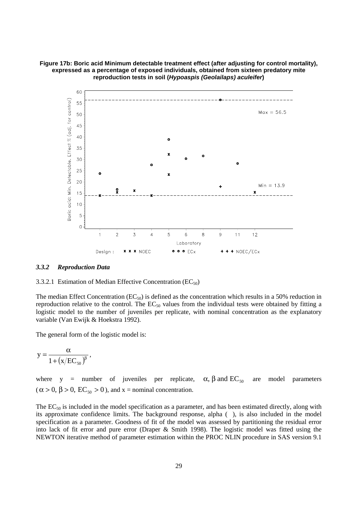**Figure 17b: Boric acid Minimum detectable treatment effect (after adjusting for control mortality), expressed as a percentage of exposed individuals, obtained from sixteen predatory mite reproduction tests in soil (***Hypoaspis (Geolailaps) aculeifer***)** 



#### *3.3.2 Reproduction Data*



The median Effect Concentration ( $EC_{50}$ ) is defined as the concentration which results in a 50% reduction in reproduction relative to the control. The  $EC_{50}$  values from the individual tests were obtained by fitting a logistic model to the number of juveniles per replicate, with nominal concentration as the explanatory variable (Van Ewijk & Hoekstra 1992).

The general form of the logistic model is:

$$
y=\frac{\alpha}{1+\left(x/EC_{_{50}}\right)^{\beta}}\,,
$$

where y = number of juveniles per replicate,  $\alpha$ ,  $\beta$  and  $\text{EC}_{50}$  are model parameters  $(\alpha > 0, \beta > 0, EC_{50} > 0)$ , and x = nominal concentration.

The  $EC_{50}$  is included in the model specification as a parameter, and has been estimated directly, along with its approximate confidence limits. The background response, alpha (), is also included in the model specification as a parameter. Goodness of fit of the model was assessed by partitioning the residual error into lack of fit error and pure error (Draper & Smith 1998). The logistic model was fitted using the NEWTON iterative method of parameter estimation within the PROC NLIN procedure in SAS version 9.1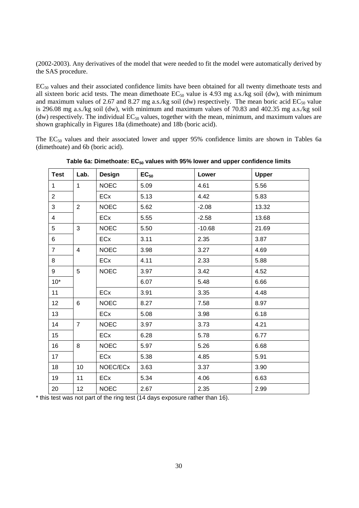(2002-2003). Any derivatives of the model that were needed to fit the model were automatically derived by the SAS procedure.

EC<sub>50</sub> values and their associated confidence limits have been obtained for all twenty dimethoate tests and all sixteen boric acid tests. The mean dimethoate  $EC_{50}$  value is 4.93 mg a.s./kg soil (dw), with minimum and maximum values of 2.67 and 8.27 mg a.s./kg soil (dw) respectively. The mean boric acid  $EC_{50}$  value is 296.08 mg a.s./kg soil (dw), with minimum and maximum values of 70.83 and 402.35 mg a.s./kg soil (dw) respectively. The individual  $EC_{50}$  values, together with the mean, minimum, and maximum values are shown graphically in Figures 18a (dimethoate) and 18b (boric acid).

The  $EC_{50}$  values and their associated lower and upper 95% confidence limits are shown in Tables 6a (dimethoate) and 6b (boric acid).

| <b>Test</b>             | Lab.           | Design      | $EC_{50}$ | Lower    | <b>Upper</b> |
|-------------------------|----------------|-------------|-----------|----------|--------------|
| $\mathbf 1$             | $\mathbf{1}$   | <b>NOEC</b> | 5.09      | 4.61     | 5.56         |
| $\overline{2}$          |                | ECx         | 5.13      | 4.42     | 5.83         |
| 3                       | $\overline{2}$ | <b>NOEC</b> | 5.62      | $-2.08$  | 13.32        |
| $\overline{\mathbf{4}}$ |                | ECx         | 5.55      | $-2.58$  | 13.68        |
| 5                       | 3              | <b>NOEC</b> | 5.50      | $-10.68$ | 21.69        |
| 6                       |                | ECx         | 3.11      | 2.35     | 3.87         |
| $\overline{7}$          | $\overline{4}$ | <b>NOEC</b> | 3.98      | 3.27     | 4.69         |
| 8                       |                | ECx         | 4.11      | 2.33     | 5.88         |
| 9                       | 5              | <b>NOEC</b> | 3.97      | 3.42     | 4.52         |
| $10*$                   |                |             | 6.07      | 5.48     | 6.66         |
| 11                      |                | ECx         | 3.91      | 3.35     | 4.48         |
| 12                      | 6              | <b>NOEC</b> | 8.27      | 7.58     | 8.97         |
| 13                      |                | ECx         | 5.08      | 3.98     | 6.18         |
| 14                      | $\overline{7}$ | <b>NOEC</b> | 3.97      | 3.73     | 4.21         |
| 15 <sub>15</sub>        |                | ECx         | 6.28      | 5.78     | 6.77         |
| 16                      | 8              | <b>NOEC</b> | 5.97      | 5.26     | 6.68         |
| 17                      |                | ECx         | 5.38      | 4.85     | 5.91         |
| 18                      | 10             | NOEC/ECx    | 3.63      | 3.37     | 3.90         |
| 19                      | 11             | ECx         | 5.34      | 4.06     | 6.63         |
| 20                      | 12             | <b>NOEC</b> | 2.67      | 2.35     | 2.99         |

Table 6a: Dimethoate: EC<sub>50</sub> values with 95% lower and upper confidence limits

\* this test was not part of the ring test (14 days exposure rather than 16).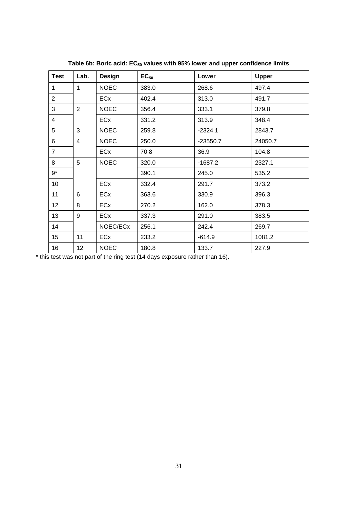| <b>Test</b>     | Lab.            | <b>Design</b> | $EC_{50}$ | Lower      | <b>Upper</b> |
|-----------------|-----------------|---------------|-----------|------------|--------------|
| 1               | 1               | <b>NOEC</b>   | 383.0     | 268.6      | 497.4        |
| $\overline{2}$  |                 | ECx           | 402.4     | 313.0      | 491.7        |
| 3               | $\overline{2}$  | <b>NOEC</b>   | 356.4     | 333.1      | 379.8        |
| $\overline{4}$  |                 | ECx           | 331.2     | 313.9      | 348.4        |
| 5               | 3               | <b>NOEC</b>   | 259.8     | $-2324.1$  | 2843.7       |
| 6               | 4               | <b>NOEC</b>   | 250.0     | $-23550.7$ | 24050.7      |
| $\overline{7}$  |                 | ECx           | 70.8      | 36.9       | 104.8        |
| 8               | 5               | <b>NOEC</b>   | 320.0     | $-1687.2$  | 2327.1       |
| $9*$            |                 |               | 390.1     | 245.0      | 535.2        |
| 10 <sup>°</sup> |                 | ECx           | 332.4     | 291.7      | 373.2        |
| 11              | 6               | ECx           | 363.6     | 330.9      | 396.3        |
| 12 <sub>2</sub> | 8               | ECx           | 270.2     | 162.0      | 378.3        |
| 13              | 9               | ECx           | 337.3     | 291.0      | 383.5        |
| 14              |                 | NOEC/ECx      | 256.1     | 242.4      | 269.7        |
| 15              | 11              | ECx           | 233.2     | $-614.9$   | 1081.2       |
| 16              | 12 <sub>2</sub> | <b>NOEC</b>   | 180.8     | 133.7      | 227.9        |

Table 6b: Boric acid: EC<sub>50</sub> values with 95% lower and upper confidence limits

\* this test was not part of the ring test (14 days exposure rather than 16).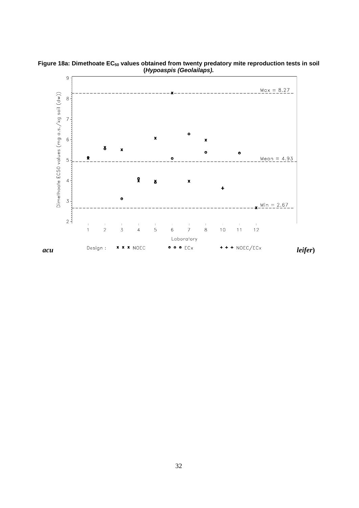

Figure 18a: Dimethoate EC<sub>50</sub> values obtained from twenty predatory mite reproduction tests in soil **(***Hypoaspis (Geolailaps).*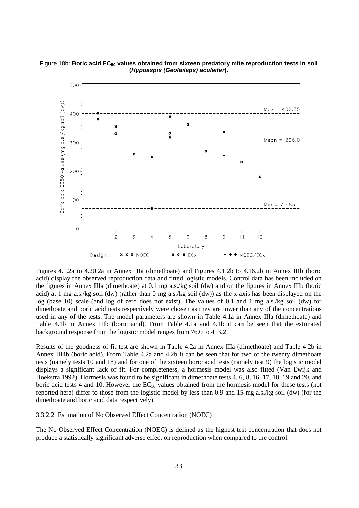

#### Figure 18b: Boric acid EC<sub>50</sub> values obtained from sixteen predatory mite reproduction tests in soil **(***Hypoaspis (Geolailaps) aculeifer***).**

Figures 4.1.2a to 4.20.2a in Annex IIIa (dimethoate) and Figures 4.1.2b to 4.16.2b in Annex IIIb (boric acid) display the observed reproduction data and fitted logistic models. Control data has been included on the figures in Annex IIIa (dimethoate) at 0.1 mg a.s./kg soil (dw) and on the figures in Annex IIIb (boric acid) at 1 mg a.s./kg soil (dw) (rather than 0 mg a.s./kg soil (dw)) as the x-axis has been displayed on the log (base 10) scale (and log of zero does not exist). The values of 0.1 and 1 mg a.s./kg soil (dw) for dimethoate and boric acid tests respectively were chosen as they are lower than any of the concentrations used in any of the tests. The model parameters are shown in Table 4.1a in Annex IIIa (dimethoate) and Table 4.1b in Annex IIIb (boric acid). From Table 4.1a and 4.1b it can be seen that the estimated background response from the logistic model ranges from 76.0 to 413.2.

Results of the goodness of fit test are shown in Table 4.2a in Annex IIIa (dimethoate) and Table 4.2b in Annex III4b (boric acid). From Table 4.2a and 4.2b it can be seen that for two of the twenty dimethoate tests (namely tests 10 and 18) and for one of the sixteen boric acid tests (namely test 9) the logistic model displays a significant lack of fit. For completeness, a hormesis model was also fitted (Van Ewijk and Hoekstra 1992). Hormesis was found to be significant in dimethoate tests 4, 6, 8, 16, 17, 18, 19 and 20, and boric acid tests 4 and 10. However the  $EC_{50}$  values obtained from the hormesis model for these tests (not reported here) differ to those from the logistic model by less than 0.9 and 15 mg a.s./kg soil (dw) (for the dimethoate and boric acid data respectively).

#### 3.3.2.2 Estimation of No Observed Effect Concentration (NOEC)

The No Observed Effect Concentration (NOEC) is defined as the highest test concentration that does not produce a statistically significant adverse effect on reproduction when compared to the control.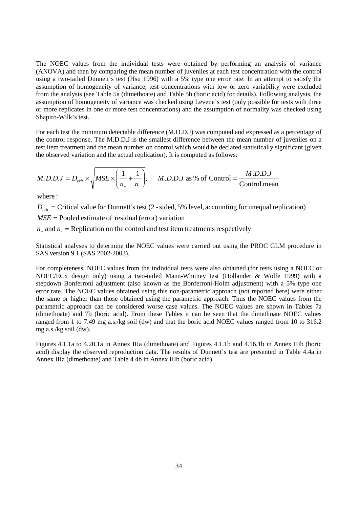The NOEC values from the individual tests were obtained by performing an analysis of variance (ANOVA) and then by comparing the mean number of juveniles at each test concentration with the control using a two-tailed Dunnett's test (Hsu 1996) with a 5% type one error rate. In an attempt to satisfy the assumption of homogeneity of variance, test concentrations with low or zero variability were excluded from the analysis (see Table 5a (dimethoate) and Table 5b (boric acid) for details). Following analysis, the assumption of homogeneity of variance was checked using Levene's test (only possible for tests with three or more replicates in one or more test concentrations) and the assumption of normality was checked using Shapiro-Wilk's test.

For each test the minimum detectable difference (M.D.D.J) was computed and expressed as a percentage of the control response. The M.D.D.J is the smallest difference between the mean number of juveniles on a test item treatment and the mean number on control which would be declared statistically significant (given the observed variation and the actual replication). It is computed as follows:

$$
M.D.D.J = D_{crit} \times \sqrt{MSE \times \left(\frac{1}{n_c} + \frac{1}{n_t}\right)}, \quad M.D.D.J \text{ as } \% \text{ of Control} = \frac{M.D.D.J}{\text{Control mean}}
$$

where :

 $D_{\text{crit}}$  = Critical value for Dunnett's test (2 - sided, 5% level, accounting for unequal replication)

*MSE* = Pooled estimate of residual (error) variation

 $n_c$  and  $n_t$  = Replication on the control and test item treatments respectively

Statistical analyses to determine the NOEC values were carried out using the PROC GLM procedure in SAS version 9.1 (SAS 2002-2003).

For completeness, NOEC values from the individual tests were also obtained (for tests using a NOEC or NOEC/ECx design only) using a two-tailed Mann-Whitney test (Hollander & Wolfe 1999) with a stepdown Bonferroni adjustment (also known as the Bonferroni-Holm adjustment) with a 5% type one error rate. The NOEC values obtained using this non-parametric approach (not reported here) were either the same or higher than those obtained using the parametric approach. Thus the NOEC values from the parametric approach can be considered worse case values. The NOEC values are shown in Tables 7a (dimethoate) and 7b (boric acid). From these Tables it can be seen that the dimethoate NOEC values ranged from 1 to 7.49 mg a.s./kg soil (dw) and that the boric acid NOEC values ranged from 10 to 316.2 mg a.s./kg soil (dw).

Figures 4.1.1a to 4.20.1a in Annex IIIa (dimethoate) and Figures 4.1.1b and 4.16.1b in Annex IIIb (boric acid) display the observed reproduction data. The results of Dunnett's test are presented in Table 4.4a in Annex IIIa (dimethoate) and Table 4.4b in Annex IIIb (boric acid).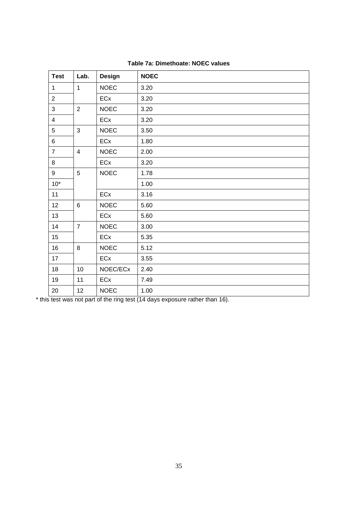| <b>Test</b>    | Lab.           | <b>Design</b> | <b>NOEC</b> |
|----------------|----------------|---------------|-------------|
| $\mathbf{1}$   | $\mathbf{1}$   | <b>NOEC</b>   | 3.20        |
| $\overline{2}$ |                | ECx           | 3.20        |
| 3              | $\overline{2}$ | <b>NOEC</b>   | 3.20        |
| $\overline{4}$ |                | ECx           | 3.20        |
| 5              | 3              | <b>NOEC</b>   | 3.50        |
| 6              |                | ECx           | 1.80        |
| $\overline{7}$ | $\overline{4}$ | <b>NOEC</b>   | 2.00        |
| 8              |                | ECx           | 3.20        |
| 9              | 5              | <b>NOEC</b>   | 1.78        |
| $10*$          |                |               | 1.00        |
| 11             |                | ECx           | 3.16        |
| 12             | $6\phantom{1}$ | <b>NOEC</b>   | 5.60        |
| 13             |                | ECx           | 5.60        |
| 14             | $\overline{7}$ | <b>NOEC</b>   | 3.00        |
| 15             |                | ECx           | 5.35        |
| 16             | 8              | <b>NOEC</b>   | 5.12        |
| 17             |                | ECx           | 3.55        |
| 18             | 10             | NOEC/ECx      | 2.40        |
| 19             | 11             | ECx           | 7.49        |
| 20             | 12             | <b>NOEC</b>   | 1.00        |

| Table 7a: Dimethoate: NOEC values |
|-----------------------------------|
|-----------------------------------|

\* this test was not part of the ring test (14 days exposure rather than 16).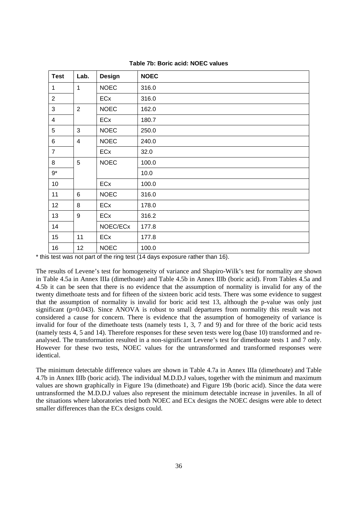| <b>Test</b>    | Lab.                    | Design      | <b>NOEC</b> |
|----------------|-------------------------|-------------|-------------|
| 1              | $\mathbf{1}$            | <b>NOEC</b> | 316.0       |
| $\overline{2}$ |                         | ECx         | 316.0       |
| 3              | $\overline{2}$          | <b>NOEC</b> | 162.0       |
| $\overline{4}$ |                         | ECx         | 180.7       |
| 5              | 3                       | <b>NOEC</b> | 250.0       |
| 6              | $\overline{\mathbf{4}}$ | <b>NOEC</b> | 240.0       |
| $\overline{7}$ |                         | ECx         | 32.0        |
| 8              | 5                       | <b>NOEC</b> | 100.0       |
| $9*$           |                         |             | 10.0        |
| 10             |                         | ECx         | 100.0       |
| 11             | 6                       | <b>NOEC</b> | 316.0       |
| 12             | 8                       | ECx         | 178.0       |
| 13             | 9                       | <b>ECx</b>  | 316.2       |
| 14             |                         | NOEC/ECx    | 177.8       |
| 15             | 11                      | ECx         | 177.8       |
| 16             | 12 <sub>2</sub>         | <b>NOEC</b> | 100.0       |

**Table 7b: Boric acid: NOEC values** 

\* this test was not part of the ring test (14 days exposure rather than 16).

The results of Levene's test for homogeneity of variance and Shapiro-Wilk's test for normality are shown in Table 4.5a in Annex IIIa (dimethoate) and Table 4.5b in Annex IIIb (boric acid). From Tables 4.5a and 4.5b it can be seen that there is no evidence that the assumption of normality is invalid for any of the twenty dimethoate tests and for fifteen of the sixteen boric acid tests. There was some evidence to suggest that the assumption of normality is invalid for boric acid test 13, although the p-value was only just significant ( $p=0.043$ ). Since ANOVA is robust to small departures from normality this result was not considered a cause for concern. There is evidence that the assumption of homogeneity of variance is invalid for four of the dimethoate tests (namely tests 1, 3, 7 and 9) and for three of the boric acid tests (namely tests 4, 5 and 14). Therefore responses for these seven tests were log (base 10) transformed and reanalysed. The transformation resulted in a non-significant Levene's test for dimethoate tests 1 and 7 only. However for these two tests, NOEC values for the untransformed and transformed responses were identical.

The minimum detectable difference values are shown in Table 4.7a in Annex IIIa (dimethoate) and Table 4.7b in Annex IIIb (boric acid). The individual M.D.D.J values, together with the minimum and maximum values are shown graphically in Figure 19a (dimethoate) and Figure 19b (boric acid). Since the data were untransformed the M.D.D.J values also represent the minimum detectable increase in juveniles. In all of the situations where laboratories tried both NOEC and ECx designs the NOEC designs were able to detect smaller differences than the ECx designs could.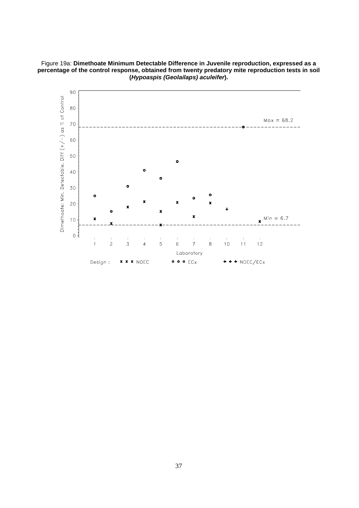

Figure 19a: **Dimethoate Minimum Detectable Difference in Juvenile reproduction, expressed as a percentage of the control response, obtained from twenty predatory mite reproduction tests in soil (***Hypoaspis (Geolailaps) aculeifer***).**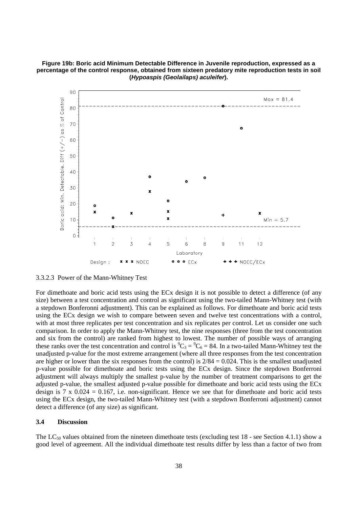



3.3.2.3 Power of the Mann-Whitney Test

For dimethoate and boric acid tests using the ECx design it is not possible to detect a difference (of any size) between a test concentration and control as significant using the two-tailed Mann-Whitney test (with a stepdown Bonferonni adjustment). This can be explained as follows. For dimethoate and boric acid tests using the ECx design we wish to compare between seven and twelve test concentrations with a control, with at most three replicates per test concentration and six replicates per control. Let us consider one such comparison. In order to apply the Mann-Whitney test, the nine responses (three from the test concentration and six from the control) are ranked from highest to lowest. The number of possible ways of arranging these ranks over the test concentration and control is  ${}^9C_3 = {}^9C_6 = 84$ . In a two-tailed Mann-Whitney test the unadjusted p-value for the most extreme arrangement (where all three responses from the test concentration are higher or lower than the six responses from the control) is  $2/84 = 0.024$ . This is the smallest unadjusted p-value possible for dimethoate and boric tests using the ECx design. Since the stepdown Bonferroni adjustment will always multiply the smallest p-value by the number of treatment comparisons to get the adjusted p-value, the smallest adjusted p-value possible for dimethoate and boric acid tests using the ECx design is  $7 \times 0.024 = 0.167$ , i.e. non-significant. Hence we see that for dimethoate and boric acid tests using the ECx design, the two-tailed Mann-Whitney test (with a stepdown Bonferroni adjustment) cannot detect a difference (of any size) as significant.

### **3.4 Discussion**

The  $LC_{50}$  values obtained from the nineteen dimethoate tests (excluding test 18 - see Section 4.1.1) show a good level of agreement. All the individual dimethoate test results differ by less than a factor of two from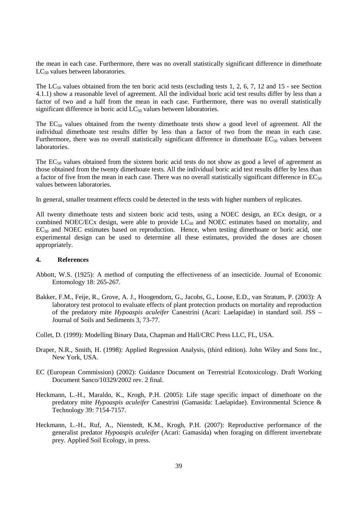the mean in each case. Furthermore, there was no overall statistically significant difference in dimethoate  $LC_{50}$  values between laboratories.

The  $LC_{50}$  values obtained from the ten boric acid tests (excluding tests 1, 2, 6, 7, 12 and 15 - see Section 4.1.1) show a reasonable level of agreement. All the individual boric acid test results differ by less than a factor of two and a half from the mean in each case. Furthermore, there was no overall statistically significant difference in boric acid  $LC_{50}$  values between laboratories.

The  $EC_{50}$  values obtained from the twenty dimethoate tests show a good level of agreement. All the individual dimethoate test results differ by less than a factor of two from the mean in each case. Furthermore, there was no overall statistically significant difference in dimethoate  $EC_{50}$  values between laboratories.

The  $EC_{50}$  values obtained from the sixteen boric acid tests do not show as good a level of agreement as those obtained from the twenty dimethoate tests. All the individual boric acid test results differ by less than a factor of five from the mean in each case. There was no overall statistically significant difference in  $EC_{50}$ values between laboratories.

In general, smaller treatment effects could be detected in the tests with higher numbers of replicates.

All twenty dimethoate tests and sixteen boric acid tests, using a NOEC design, an ECx design, or a combined NOEC/ECx design, were able to provide  $LC_{50}$  and NOEC estimates based on mortality, and  $EC_{50}$  and NOEC estimates based on reproduction. Hence, when testing dimethoate or boric acid, one experimental design can be used to determine all these estimates, provided the doses are chosen appropriately.

#### **4. References**

- Abbott, W.S. (1925): A method of computing the effectiveness of an insecticide. Journal of Economic Entomology 18: 265-267.
- Bakker, F.M., Feije, R., Grove, A. J., Hoogendorn, G., Jacobs, G., Loose, E.D., van Stratum, P. (2003): A laboratory test protocol to evaluate effects of plant protection products on mortality and reproduction of the predatory mite *Hypoaspis aculeifer* Canestrini (Acari: Laelapidae) in standard soil. JSS – Journal of Soils and Sediments 3, 73-77.
- Collet, D. (1999): Modelling Binary Data, Chapman and Hall/CRC Press LLC, FL, USA.
- Draper, N.R., Smith, H. (1998): Applied Regression Analysis, (third edition). John Wiley and Sons Inc., New York, USA.
- EC (European Commission) (2002): Guidance Document on Terrestrial Ecotoxicology. Draft Working Document Sanco/10329/2002 rev. 2 final.
- Heckmann, L.-H., Maraldo, K., Krogh, P.H. (2005): Life stage specific impact of dimethoate on the predatory mite *Hypoaspis aculeifer* Canestrini (Gamasida: Laelapidae). Environmental Science & Technology 39: 7154-7157.
- Heckmann, L.-H., Ruf, A., Nienstedt, K.M., Krogh, P.H. (2007): Reproductive performance of the generalist predator *Hypoaspis aculeifer* (Acari: Gamasida) when foraging on different invertebrate prey. Applied Soil Ecology, in press.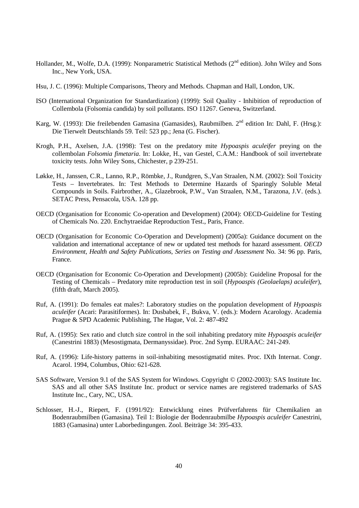- Hollander, M., Wolfe, D.A. (1999): Nonparametric Statistical Methods (2<sup>nd</sup> edition). John Wiley and Sons Inc., New York, USA.
- Hsu, J. C. (1996): Multiple Comparisons, Theory and Methods. Chapman and Hall, London, UK.
- ISO (International Organization for Standardization) (1999): Soil Quality Inhibition of reproduction of Collembola (Folsomia candida) by soil pollutants. ISO 11267. Geneva, Switzerland.
- Karg, W. (1993): Die freilebenden Gamasina (Gamasides), Raubmilben. 2<sup>nd</sup> edition In: Dahl, F. (Hrsg.): Die Tierwelt Deutschlands 59. Teil: 523 pp.; Jena (G. Fischer).
- Krogh, P.H., Axelsen, J.A. (1998): Test on the predatory mite *Hypoaspis aculeifer* preying on the collembolan *Folsomia fimetaria*. In: Lokke, H., van Gestel, C.A.M.: Handbook of soil invertebrate toxicity tests. John Wiley Sons, Chichester, p 239-251.
- Løkke, H., Janssen, C.R., Lanno, R.P., Römbke, J., Rundgren, S.,Van Straalen, N.M. (2002): Soil Toxicity Tests – Invertebrates. In: Test Methods to Determine Hazards of Sparingly Soluble Metal Compounds in Soils. Fairbrother, A., Glazebrook, P.W., Van Straalen, N.M., Tarazona, J.V. (eds.). SETAC Press, Pensacola, USA. 128 pp.
- OECD (Organisation for Economic Co-operation and Development) (2004): OECD-Guideline for Testing of Chemicals No. 220. Enchytraeidae Reproduction Test., Paris, France.
- OECD (Organisation for Economic Co-Operation and Development) (2005a): Guidance document on the validation and international acceptance of new or updated test methods for hazard assessment. *OECD Environment, Health and Safety Publications, Series on Testing and Assessment* No. 34: 96 pp. Paris, France.
- OECD (Organisation for Economic Co-Operation and Development) (2005b): Guideline Proposal for the Testing of Chemicals – Predatory mite reproduction test in soil (*Hypoaspis (Geolaelaps) aculeifer*), (fifth draft, March 2005).
- Ruf, A. (1991): Do females eat males?: Laboratory studies on the population development of *Hypoaspis aculeifer* (Acari: Parasitiformes). In: Dusbabek, F., Bukva, V. (eds.): Modern Acarology. Academia Prague & SPD Academic Publishing, The Hague, Vol. 2: 487-492
- Ruf, A. (1995): Sex ratio and clutch size control in the soil inhabiting predatory mite *Hypoaspis aculeifer* (Canestrini 1883) (Mesostigmata, Dermanyssidae). Proc. 2nd Symp. EURAAC: 241-249.
- Ruf, A. (1996): Life-history patterns in soil-inhabiting mesostigmatid mites. Proc. IXth Internat. Congr. Acarol. 1994, Columbus, Ohio: 621-628.
- SAS Software, Version 9.1 of the SAS System for Windows. Copyright © (2002-2003): SAS Institute Inc. SAS and all other SAS Institute Inc. product or service names are registered trademarks of SAS Institute Inc., Cary, NC, USA.
- Schlosser, H.-J., Riepert, F. (1991/92): Entwicklung eines Prüfverfahrens für Chemikalien an Bodenraubmilben (Gamasina). Teil 1: Biologie der Bodenraubmilbe *Hypoaspis aculeifer* Canestrini, 1883 (Gamasina) unter Laborbedingungen. Zool. Beiträge 34: 395-433.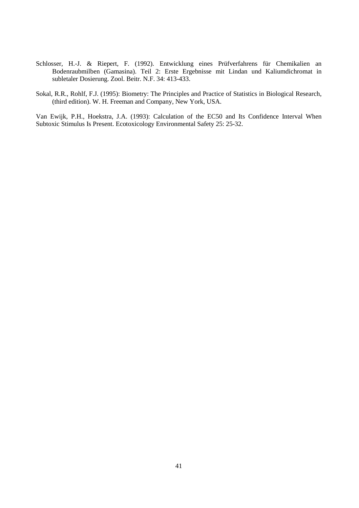- Schlosser, H.-J. & Riepert, F. (1992). Entwicklung eines Prüfverfahrens für Chemikalien an Bodenraubmilben (Gamasina). Teil 2: Erste Ergebnisse mit Lindan und Kaliumdichromat in subletaler Dosierung. Zool. Beitr. N.F. 34: 413-433.
- Sokal, R.R., Rohlf, F.J. (1995): Biometry: The Principles and Practice of Statistics in Biological Research, (third edition). W. H. Freeman and Company, New York, USA.

Van Ewijk, P.H., Hoekstra, J.A. (1993): Calculation of the EC50 and Its Confidence Interval When Subtoxic Stimulus Is Present. Ecotoxicology Environmental Safety 25: 25-32.